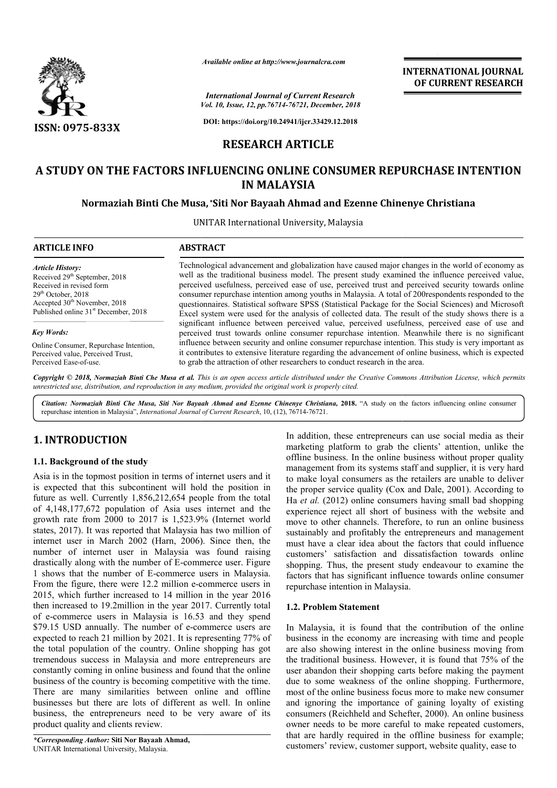

*Available online at http://www.journalcra.com*

*Vol. 10, Issue, 12, pp.76714-76721, December, 2018 International Journal of Current Research*

**INTERNATIONAL JOURNAL OF CURRENT RESEARCH**

**DOI: https://doi.org/10.24941/ijcr.33429.12.2018**

# **RESEARCH ARTICLE**

# **A STUDY ON THE FACTORS INFLUENCING ONLINE CONSUMER REPURCHASE INTENTION IN MALAYSIA**

### **Normaziah Binti Che Musa, \*Siti Nor Bayaah Ahmad and Ezenne Chinenye Christiana**

UNITAR International University, Malaysia

| <b>ARTICLE INFO</b>                                                                                                                                                                                                      | <b>ABSTRACT</b>                                                                                                                                                                                                                                                                                                                                                                                                                                                                                                                                                                                                                   |
|--------------------------------------------------------------------------------------------------------------------------------------------------------------------------------------------------------------------------|-----------------------------------------------------------------------------------------------------------------------------------------------------------------------------------------------------------------------------------------------------------------------------------------------------------------------------------------------------------------------------------------------------------------------------------------------------------------------------------------------------------------------------------------------------------------------------------------------------------------------------------|
| <b>Article History:</b><br>Received 29 <sup>th</sup> September, 2018<br>Received in revised form<br>$29th$ October, 2018<br>Accepted 30 <sup>th</sup> November, 2018<br>Published online 31 <sup>st</sup> December, 2018 | Technological advancement and globalization have caused major changes in the world of economy as<br>well as the traditional business model. The present study examined the influence perceived value,<br>perceived usefulness, perceived ease of use, perceived trust and perceived security towards online<br>consumer repurchase intention among youths in Malaysia. A total of 200respondents responded to the<br>questionnaires. Statistical software SPSS (Statistical Package for the Social Sciences) and Microsoft<br>Excel system were used for the analysis of collected data. The result of the study shows there is a |
| <b>Key Words:</b>                                                                                                                                                                                                        | significant influence between perceived value, perceived usefulness, perceived ease of use and<br>perceived trust towards online consumer repurchase intention. Meanwhile there is no significant                                                                                                                                                                                                                                                                                                                                                                                                                                 |
| Online Consumer, Repurchase Intention.                                                                                                                                                                                   | influence between security and online consumer repurchase intention. This study is very important as                                                                                                                                                                                                                                                                                                                                                                                                                                                                                                                              |

Online Consumer, Repurchase Intention, Perceived value, Perceived Trust, Perceived Ease-of-use.

Copyright © 2018, Normaziah Binti Che Musa et al. This is an open access article distributed under the Creative Commons Attribution License, which permits *unrestricted use, distribution, and reproduction in any medium, provided the original work is properly cited.*

it contributes to extensive literature regarding the advancement of onlin<br>to grab the attraction of other researchers to conduct research in the area.

Citation: Normaziah Binti Che Musa, Siti Nor Bayaah Ahmad and Ezenne Chinenye Christiana, 2018. "A study on the factors influencing online consumer repurchase intention in Malaysia", *International Journal of Current Research* , 10, (12), 76714-76721.

# **1. INTRODUCTION**

### **1.1. Background of the study**

Asia is in the topmost position in terms of internet users and it is expected that this subcontinent will hold the position in future as well. Currently 1,856,212,654 people from the total of 4,148,177,672 population of Asia uses internet and the growth rate from 2000 to 2017 is 1,523.9% (Internet world states, 2017). It was reported that Malaysia has two million of internet user in March 2002 (Harn, 2006). Since then, the number of internet user in Malaysia was found raising drastically along with the number of E-commerce user. Figure 1 shows that the number of E-commerce users in Malaysia. growth rate from 2000 to 2017 is 1,523.9% (Internet world states, 2017). It was reported that Malaysia has two million of internet user in March 2002 (Harn, 2006). Since then, the number of internet user in Malaysia was fo 2015, which further increased to 14 million in the year 2016 then increased to 19.2million in the year 2017. Currently total of e-commerce users in Malaysia is 16.53 and they spend \$79.15 USD annually. The number of e-commerce users are expected to reach 21 million by 2021. It is representing 77% of the total population of the country. Online shopping has got tremendous success in Malaysia and more entrepreneurs are constantly coming in online business and found that the online business of the country is becoming competitive with the time. There are many similarities between online and offline businesses but there are lots of different as well. In online business, the entrepreneurs need to be very aware of its product quality and clients review. **EXTRODUCTION**<br>
In addition, these entrepreneurs can use social media as their associal media as their commerce and in<br>
1. **Background of the study**<br>
In andies in the original media bases in the original media as in the c

*\*Corresponding Author:* **Siti Nor Bayaah Ahmad,** UNITAR International University, Malaysia.

marketing platform to grab the clients' attention, unlike the offline business. In the online business without proper quality management from its systems staff and supplier, it is very hard to make loyal consumers as the retailers are unable to deliver the proper service quality (Cox and Dale, 2001). According to Ha *et al.* (2012) online consumers having small bad shopping experience reject all short of business with the website and move to other channels. Therefore, to run an online business sustainably and profitably the entrepreneurs and management must have a clear idea about the factors that could influence customers' satisfaction and dissatisfaction towards online sustainably and profitably the entrepreneurs and management<br>must have a clear idea about the factors that could influence<br>customers' satisfaction and dissatisfaction towards online<br>shopping. Thus, the present study endeavo factors that has significant influence towards online consumer repurchase intention in Malaysia. preneurs can use social media as their grab the clients' attention, unlike the online business without proper quality stems staff and supplier, it is very hard s as the retailers are unable to deliver y (Cox and Dale, 2001

#### **1.2. Problem Statement**

it contributes to extensive literature regarding the advancement of online business, which is expected

In Malaysia, it is found that the contribution of the online business in the economy are increasing with time and people are also showing interest in the online business moving from the traditional business. However, it is found that 75% of the user abandon their shopping carts before making the payment due to some weakness of the online shopping. Furthermore, most of the online business focus more to make new consumer and ignoring the importance of gaining loyalty of existing consumers (Reichheld and Schefter, 2000). An online business owner needs to be more careful to make repeated customers, that are hardly required in the offline business for example; customers' review, customer support, website quality, ease to factors that has significant influence towards online consumer<br>repurchase intention in Malaysia.<br>1.2. Problem Statement<br>In Malaysia, it is found that the contribution of the online<br>business in the economy are increasing wi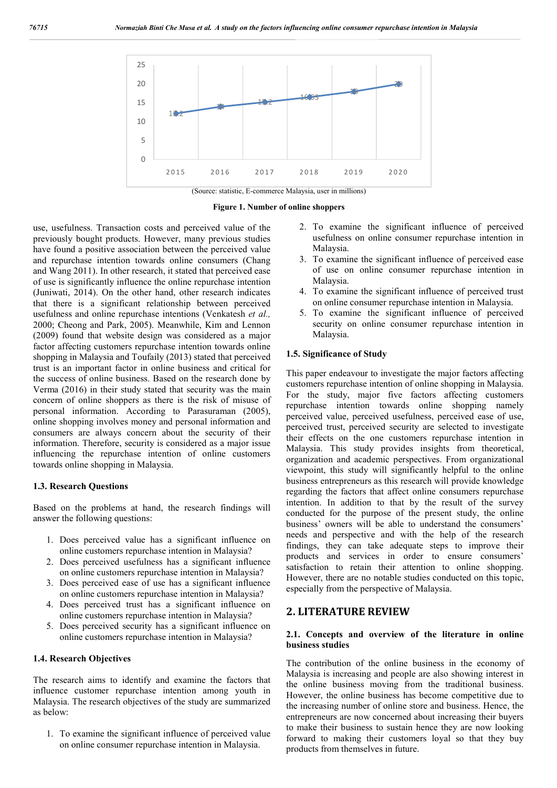

**Figure 1. Number of online shoppers**

use, usefulness. Transaction costs and perceived value of the previously bought products. However, many previous studies have found a positive association between the perceived value and repurchase intention towards online consumers (Chang and Wang 2011). In other research, it stated that perceived ease of use is significantly influence the online repurchase intention (Juniwati, 2014). On the other hand, other research indicates that there is a significant relationship between perceived usefulness and online repurchase intentions (Venkatesh *et al.,*  2000; Cheong and Park, 2005). Meanwhile, Kim and Lennon (2009) found that website design was considered as a major factor affecting customers repurchase intention towards online shopping in Malaysia and Toufaily (2013) stated that perceived trust is an important factor in online business and critical for the success of online business. Based on the research done by Verma (2016) in their study stated that security was the main concern of online shoppers as there is the risk of misuse of personal information. According to Parasuraman (2005), online shopping involves money and personal information and consumers are always concern about the security of their information. Therefore, security is considered as a major issue influencing the repurchase intention of online customers towards online shopping in Malaysia.

#### **1.3. Research Questions**

Based on the problems at hand, the research findings will answer the following questions:

- 1. Does perceived value has a significant influence on online customers repurchase intention in Malaysia?
- 2. Does perceived usefulness has a significant influence on online customers repurchase intention in Malaysia?
- 3. Does perceived ease of use has a significant influence on online customers repurchase intention in Malaysia?
- 4. Does perceived trust has a significant influence on online customers repurchase intention in Malaysia?
- 5. Does perceived security has a significant influence on online customers repurchase intention in Malaysia?

#### **1.4. Research Objectives**

The research aims to identify and examine the factors that influence customer repurchase intention among youth in Malaysia. The research objectives of the study are summarized as below:

1. To examine the significant influence of perceived value on online consumer repurchase intention in Malaysia.

- 2. To examine the significant influence of perceived usefulness on online consumer repurchase intention in Malaysia.
- 3. To examine the significant influence of perceived ease of use on online consumer repurchase intention in Malaysia.
- 4. To examine the significant influence of perceived trust on online consumer repurchase intention in Malaysia.
- 5. To examine the significant influence of perceived security on online consumer repurchase intention in Malaysia.

#### **1.5. Significance of Study**

This paper endeavour to investigate the major factors affecting customers repurchase intention of online shopping in Malaysia. For the study, major five factors affecting customers repurchase intention towards online shopping namely perceived value, perceived usefulness, perceived ease of use, perceived trust, perceived security are selected to investigate their effects on the one customers repurchase intention in Malaysia. This study provides insights from theoretical, organization and academic perspectives. From organizational viewpoint, this study will significantly helpful to the online business entrepreneurs as this research will provide knowledge regarding the factors that affect online consumers repurchase intention. In addition to that by the result of the survey conducted for the purpose of the present study, the online business' owners will be able to understand the consumers' needs and perspective and with the help of the research findings, they can take adequate steps to improve their products and services in order to ensure consumers' satisfaction to retain their attention to online shopping. However, there are no notable studies conducted on this topic, especially from the perspective of Malaysia.

### **2. LITERATURE REVIEW**

#### **2.1. Concepts and overview of the literature in online business studies**

The contribution of the online business in the economy of Malaysia is increasing and people are also showing interest in the online business moving from the traditional business. However, the online business has become competitive due to the increasing number of online store and business. Hence, the entrepreneurs are now concerned about increasing their buyers to make their business to sustain hence they are now looking forward to making their customers loyal so that they buy products from themselves in future.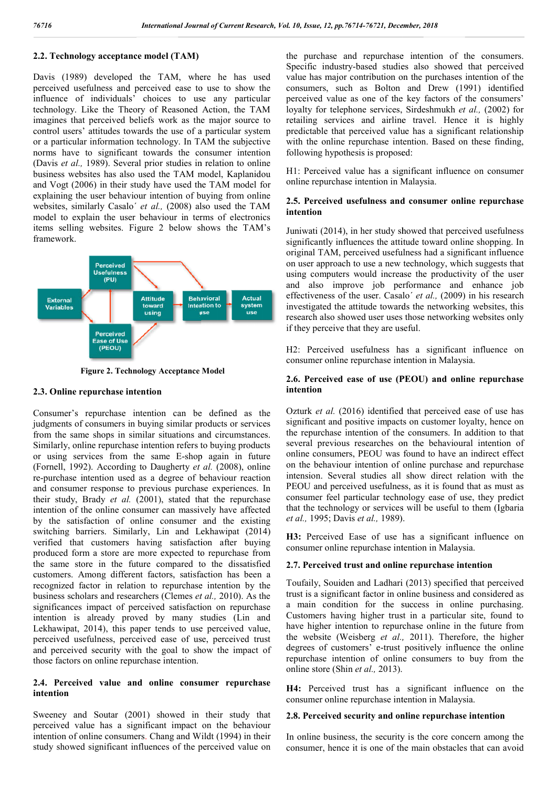## **2.2. Technology acceptance model (TAM)**

Davis (1989) developed the TAM, where he has used perceived usefulness and perceived ease to use to show the influence of individuals' choices to use any particular technology. Like the Theory of Reasoned Action, the TAM imagines that perceived beliefs work as the major source to control users' attitudes towards the use of a particular system or a particular information technology. In TAM the subjective norms have to significant towards the consumer intention (Davis *et al.,* 1989). Several prior studies in relation to online business websites has also used the TAM model, Kaplanidou and Vogt (2006) in their study have used the TAM model for explaining the user behaviour intention of buying from online websites, similarly Casalo´ *et al.,* (2008) also used the TAM model to explain the user behaviour in terms of electronics items selling websites. Figure 2 below shows the TAM's framework.



**Figure 2. Technology Acceptance Model**

### **2.3. Online repurchase intention**

Consumer's repurchase intention can be defined as the judgments of consumers in buying similar products or services from the same shops in similar situations and circumstances. Similarly, online repurchase intention refers to buying products or using services from the same E-shop again in future or using services from the same E-shop again in future (Fornell, 1992). According to Daugherty *et al.* (2008), online re-purchase intention used as a degree of behaviour reaction and consumer response to previous purchase experiences. In their study, Brady *et al.* (2001), stated that the repurchase intention of the online consumer can massively have affected by the satisfaction of online consumer and the existing switching barriers. Similarly, Lin and Lekhawipat (2014) verified that customers having satisfaction after buying produced form a store are more expected to repurchase from the same store in the future compared to the dissatisfied customers. Among different factors, satisfaction has been a recognized factor in relation to repurchase intention by the business scholars and researchers (Clemes *et al.,*  significances impact of perceived satisfaction on repurchase intention is already proved by many studies (Lin and Lekhawipat, 2014), this paper tends to use perceived value, perceived usefulness, perceived ease of use, perceived trust and perceived security with the goal to show the impact of those factors on online repurchase intention. s. Similarly, Lin and Lekhawipat  $(2014)$  stomers having satisfaction after buying store are more expected to repurchase from n the future compared to the dissatisfied g different factors, satisfaction has been a in relat **if CAM)** the purchase and spectral technics and resolution of the consumers.<br>
And where the has used Specific industry-insed statics also showed that preceived<br>as the result of the sympatrical method of the consumers.<br>
An

### **2.4. Perceived value and online consumer repurchase intention**

Sweeney and Soutar (2001) showed in their study that perceived value has a significant impact on the behaviour intention of online consumers. Chang and Wildt (1994) in their study showed significant influences of the perceived value on Specific industry-based studies also showed that perceived the purchase and repurchase intention of the consumers.<br>Specific industry-based studies also showed that perceived<br>value has major contribution on the purchases intention of the consumers, such as Bolton and Drew (1991) identified perceived value as one of the key factors of the consumers' loyalty for telephone services, Sirdeshmukh et al., (2002) for retailing services and airline travel. Hence it is highly predictable that perceived value has a significant relationship with the online repurchase intention. Based on these finding, following hypothesis is proposed: retailing services and airline travel. Hence it is highly<br>predictable that perceived value has a significant relationship<br>with the online repurchase intention. Based on these finding,<br>following hypothesis is proposed:<br>H1: ers, such as Bolton and Drew (1991) identified<br>ed value as one of the key factors of the consumers'<br>for telephone services, Sirdeshmukh *et al.*, (2002) for

online repurchase intention in Malaysia.

### **2.5. Perceived usefulness and consumer online repurchase intention**

Juniwati (2014), in her study showed that perceived usefulness significantly influences the attitude toward online shopping. In Juniwati (2014), in her study showed that perceived usefulness significantly influences the attitude toward online shopping. In original TAM, perceived usefulness had a significant influence on user approach to use a new technology, which suggests that using computers would increase the productivity of the user and also improve job performance and enhance job effectiveness of the user. Casalo' et al., (2009) in his research investigated the attitude towards the networking websites, this research also showed user uses those networking websites only if they perceive that they are useful. er approach to use a new technology, which suggests that computers would increase the productivity of the user also improve job performance and enhance job iveness of the user. Casalo´ *et al.*, (2009) in his research ted the attitude towards the networking websites, this also showed user uses those networking websites only precive that they are useful.<br>Ceived usefulness has a significant influence on r online repurchase intention in Ma

H2: Perceived usefulness has a significant influence on consumer online repurchase intention in

### 2.6. Perceived ease of use (PEOU) and online repurchase **intention**

Ozturk *et al.* (2016) identified that perceived ease of use has significant and positive impacts on customer loyalty, hence on Ozturk *et al.* (2016) identified that perceived ease of use has significant and positive impacts on customer loyalty, hence on the repurchase intention of the consumers. In addition to that several previous researches on the behavioural intention of online consumers, PEOU was found to have an indirect effect on the behaviour intention of online purchase and repurchase intension. Several studies all show direct relation with the PEOU and perceived usefulness, as it is found that as must as consumer feel particular technology ease of use, they predict that the technology or services will be useful to them (Igbaria *et al.,* 1995; Davis *et al.,* 1989). several previous researches on the behavioural intention of online consumers, PEOU was found to have an indirect effect on the behaviour intention of online purchase and repurchase intension. Several studies all show direc 2, py.7671+76721, December, 2018<br>
use and repurchase intention of the consumers,<br>
use and repurchase intention of the consumers,<br>
used studies also showed that precived<br>
using the can as Bolton and Drew (1991) identified<br>

consumer online repurchase intention in Malaysia.

### **2.7. Perceived trust and online repurchase intention**

Toufaily, Souiden and Ladhari (2013) specified that perceived trust is a significant factor in online business and considered as a main condition for the success in online purchasing. Customers having higher trust in a particular site, found to have higher intention to repurchase online in the future from the website (Weisberg et al., 2011). Therefore, the higher degrees of customers' e-trust positively influence the online repurchase intention of online consumers to buy from the online store (Shin *et al.,* 2013). e-trust positively influence the original consumers to buy from<br>2013).<br>aas a significant influence on

**H4:** Perceived trust has a significant influence on the consumer online repurchase intention in Malaysia.

### **2.8. Perceived security and online repurchase intention repurchase intention**

In online business, the security is the core concern among the consumer, hence it is one of the main obstacles that can avoid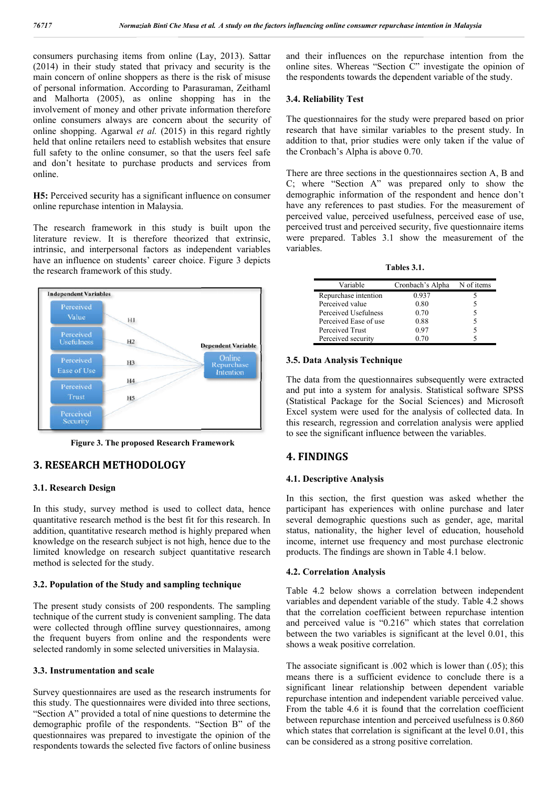consumers purchasing items from online (Lay, 2013). Sattar (2014) in their study stated that privacy and security is the main concern of online shoppers as there is the risk of misuse of personal information. According to Parasuraman, Zeithaml and Malhorta (2005), as online shopping has in the involvement of money and other private information therefore online consumers always are concern about the security of online shopping. Agarwal *et al.* (2015) in this regard rightly held that online retailers need to establish websites that ensure full safety to the online consumer, so that the users feel safe and don't hesitate to purchase products and services from online. te information therefore<br>
in about the security of<br>
5) in this regard rightly<br>
ish websites that ensure<br>
that the users feel safe

**H5:** Perceived security has a significant influence on consumer online repurchase intention in Malaysia.

The research framework in this study is built upon the literature review. It is therefore theorized that extrinsic, intrinsic, and interpersonal factors as independent variables have an influence on students' career choice. Figure 3 depicts the research framework of this study.



**Figure 3. The proposed Research Framework**

## **3. RESEARCH METHODOLOGY**

### **3.1. Research Design**

In this study, survey method is used to collect data, hence quantitative research method is the best fit for this research. In addition, quantitative research method is highly prepared when knowledge on the research subject is not high, hence due to the limited knowledge on research subject quantitative research method is selected for the study.

#### **3.2. Population of the Study and sampling technique**

The present study consists of 200 respondents. The sampling technique of the current study is convenient sampling. The data were collected through offline survey questionnaires, among the frequent buyers from online and the respondents were selected randomly in some selected universities in Malaysia.

### **3.3. Instrumentation and scale**

Survey questionnaires are used as the research instruments for this study. The questionnaires were divided into three sections, "Section A" provided a total of nine questions to determine the demographic profile of the respondents. "Section B" of the questionnaires was prepared to investigate the opinion of the respondents towards the selected five factors of online business

and their influences on the repurchase intention from the online sites. Whereas "Section C" investigate the opinion of the respondents towards the dependent variable of the study. nd their influences on the repurchase intention from the<br>nline sites. Whereas "Section C" investigate the opinion of<br>ne respondents towards the dependent variable of the study.<br>**4. Reliability Test**<br>The questionnaires for

#### **3.4. Reliability Test**

The questionnaires for the study were prepared based on prior research that have similar variables to the present study. In addition to that, prior studies were only taken if the value of the Cronbach's Alpha is above 0.70.

There are three sections in the questionnaires section A, B and C; where "Section A" was prepared only to show the demographic information of the respondent and hence don't have any references to past studies. For the measurement of perceived value, perceived usefulness, perceived ease of use, perceived trust and perceived security, five questionnaire items were prepared. Tables 3.1 show the measurement of the variables. tion to that, prior studies were only taken if the value of<br>Cronbach's Alpha is above 0.70.<br>re are three sections in the questionnaires section A, B and<br>where "Section A" was prepared only to show the<br>ographic information

**Tables 3.1 3.1.**

| Variable              | Cronbach's Alpha | N of items |
|-----------------------|------------------|------------|
| Repurchase intention  | 0.937            |            |
| Perceived value       | 0.80             |            |
| Perceived Usefulness  | 0.70             | 5          |
| Perceived Ease of use | 0.88             |            |
| Perceived Trust       | 0.97             |            |
| Perceived security    | 0 70             |            |

#### **3.5. Data Analysis Technique**

The data from the questionnaires subsequently were extracted and put into a system for analysis. Statistical software SPSS (Statistical Package for the Social Sciences) and Microsoft Excel system were used for the analysis of collected this research, regression and correlation analysis were applied to see the significant influence between the variables. data from the questionnaires subsequently were extracted<br>put into a system for analysis. Statistical software SPSS<br>istical Package for the Social Sciences) and Microsoft<br>el system were used for the analysis of collected da

## **4. FINDINGS**

### **4.1. Descriptive Analysis**

In this section, the first question was asked whether the participant has experiences with online purchase and later several demographic questions such as gender, age, marital status, nationality, the higher level of education, household income, internet use frequency and most purchase electronic products. The findings are shown in Table 4.1 below. In this section, the first question was asked whether the participant has experiences with online purchase and later several demographic questions such as gender, age, marital status, nationality, the higher level of educa

#### **4.2. Correlation Analysis**

Table 4.2 below shows a correlation between independent variables and dependent variable of the study. Table 4.2 shows that the correlation coefficient between repurchase intention and perceived value is "0.216" which states that correlation between the two variables is significant at the level 0.01, this shows a weak positive correlation. 4.2 below shows a correlation between independent<br>obles and dependent variable of the study. Table 4.2 shows<br>the correlation coefficient between repurchase intention<br>perceived value is "0.216" which states that correlatio

The associate significant is .002 which is lower than (.05); this means there is a sufficient evidence to conclude there is a significant linear relationship between dependent variable repurchase intention and independent variable perceived value. From the table 4.6 it is found that the correlation coefficient between repurchase intention and perceived usefulness is 0.860 which states that correlation is significant at the level 0.01, this can be considered as a strong positive correlation. nt linear relationship between dependent variable<br>se intention and independent variable perceived value.<br>table 4.6 it is found that the correlation coefficient<br>repurchase intention and perceived usefulness is 0.860<br>ates th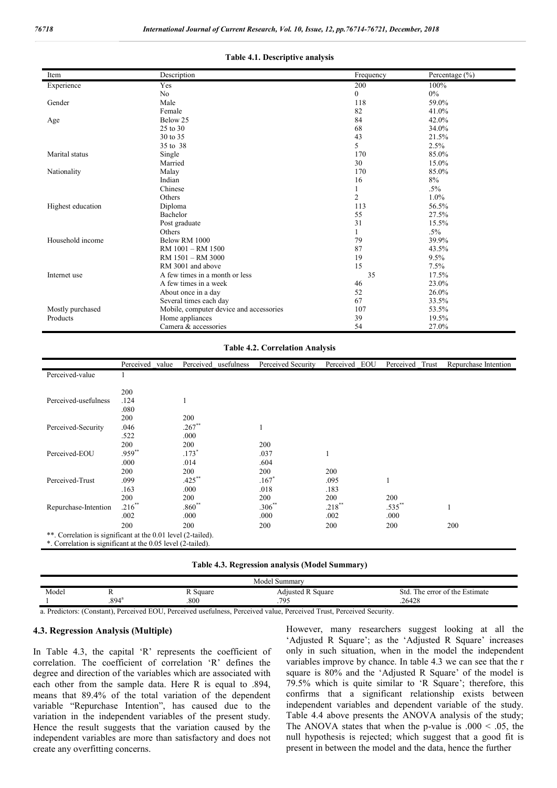| Item              | Description                             | Frequency      | Percentage $(\% )$ |
|-------------------|-----------------------------------------|----------------|--------------------|
| Experience        | Yes                                     | 200            | 100%               |
|                   | N <sub>o</sub>                          | 0              | $0\%$              |
| Gender            | Male                                    | 118            | 59.0%              |
|                   | Female                                  | 82             | 41.0%              |
| Age               | Below 25                                | 84             | 42.0%              |
|                   | 25 to 30                                | 68             | 34.0%              |
|                   | 30 to 35                                | 43             | 21.5%              |
|                   | 35 to 38                                | 5              | 2.5%               |
| Marital status    | Single                                  | 170            | 85.0%              |
|                   | Married                                 | 30             | 15.0%              |
| Nationality       | Malay                                   | 170            | 85.0%              |
|                   | Indian                                  | 16             | 8%                 |
|                   | Chinese                                 |                | $.5\%$             |
|                   | Others                                  | $\overline{c}$ | 1.0%               |
| Highest education | Diploma                                 | 113            | 56.5%              |
|                   | Bachelor                                | 55             | 27.5%              |
|                   | Post graduate                           | 31             | 15.5%              |
|                   | Others                                  |                | $.5\%$             |
| Household income  | Below RM 1000                           | 79             | 39.9%              |
|                   | RM 1001 - RM 1500                       | 87             | 43.5%              |
|                   | RM 1501 - RM 3000                       | 19             | 9.5%               |
|                   | RM 3001 and above                       | 15             | 7.5%               |
| Internet use      | A few times in a month or less          | 35             | 17.5%              |
|                   | A few times in a week                   | 46             | 23.0%              |
|                   | About once in a day                     | 52             | 26.0%              |
|                   | Several times each day                  | 67             | 33.5%              |
| Mostly purchased  | Mobile, computer device and accessories | 107            | 53.5%              |
| Products          | Home appliances                         | 39             | 19.5%              |
|                   | Camera & accessories                    | 54             | 27.0%              |

#### **Table 4.1. Descriptive analysis**

#### **Table 4.2. Correlation Analysis**

|                                                              | Perceived<br>value | Perceived usefulness | Perceived Security  | Perceived EOU | Perceived<br>Trust | Repurchase Intention |
|--------------------------------------------------------------|--------------------|----------------------|---------------------|---------------|--------------------|----------------------|
| Perceived-value                                              |                    |                      |                     |               |                    |                      |
|                                                              |                    |                      |                     |               |                    |                      |
|                                                              | 200                |                      |                     |               |                    |                      |
| Perceived-usefulness                                         | .124               | 1                    |                     |               |                    |                      |
|                                                              | .080               |                      |                     |               |                    |                      |
|                                                              | 200                | 200                  |                     |               |                    |                      |
| Perceived-Security                                           | .046               | $.267**$             |                     |               |                    |                      |
|                                                              | .522               | .000                 |                     |               |                    |                      |
|                                                              | 200                | 200                  | 200                 |               |                    |                      |
| Perceived-EOU                                                | .959**             | $.173*$              | .037                |               |                    |                      |
|                                                              | .000               | .014                 | .604                |               |                    |                      |
|                                                              | 200                | 200                  | 200                 | 200           |                    |                      |
| Perceived-Trust                                              | .099               | $.425$ **            | $.167$ <sup>*</sup> | .095          |                    |                      |
|                                                              | .163               | .000                 | .018                | .183          |                    |                      |
|                                                              | 200                | 200                  | 200                 | 200           | 200                |                      |
| Repurchase-Intention                                         | $.216**$           | $.860**$             | $.306**$            | $.218***$     | $.535***$          |                      |
|                                                              | .002               | .000                 | .000                | .002          | .000               |                      |
|                                                              | 200                | 200                  | 200                 | 200           | 200                | 200                  |
| **. Correlation is significant at the 0.01 level (2-tailed). |                    |                      |                     |               |                    |                      |
| *. Correlation is significant at the 0.05 level (2-tailed).  |                    |                      |                     |               |                    |                      |

#### **Table 4.3. Regression analysis (Model Summary)**

| . Summarv<br>Model |            |        |                    |                                                  |  |  |
|--------------------|------------|--------|--------------------|--------------------------------------------------|--|--|
| Model              |            | Square | Square<br>Adjusted | --<br>error of the :<br>Std.<br>e Estimate<br>he |  |  |
|                    | $.894^{r}$ | .800   | 70 <sup>4</sup>    | .26428                                           |  |  |

a. Predictors: (Constant), Perceived EOU, Perceived usefulness, Perceived value, Perceived Trust, Perceived Security.

#### **4.3. Regression Analysis (Multiple)**

In Table 4.3, the capital 'R' represents the coefficient of correlation. The coefficient of correlation 'R' defines the degree and direction of the variables which are associated with each other from the sample data. Here R is equal to .894, means that 89.4% of the total variation of the dependent variable "Repurchase Intention", has caused due to the variation in the independent variables of the present study. Hence the result suggests that the variation caused by the independent variables are more than satisfactory and does not create any overfitting concerns.

However, many researchers suggest looking at all the 'Adjusted R Square'; as the 'Adjusted R Square' increases only in such situation, when in the model the independent variables improve by chance. In table 4.3 we can see that the r square is 80% and the 'Adjusted R Square' of the model is 79.5% which is quite similar to 'R Square'; therefore, this confirms that a significant relationship exists between independent variables and dependent variable of the study. Table 4.4 above presents the ANOVA analysis of the study; The ANOVA states that when the p-value is  $.000 < .05$ , the null hypothesis is rejected; which suggest that a good fit is present in between the model and the data, hence the further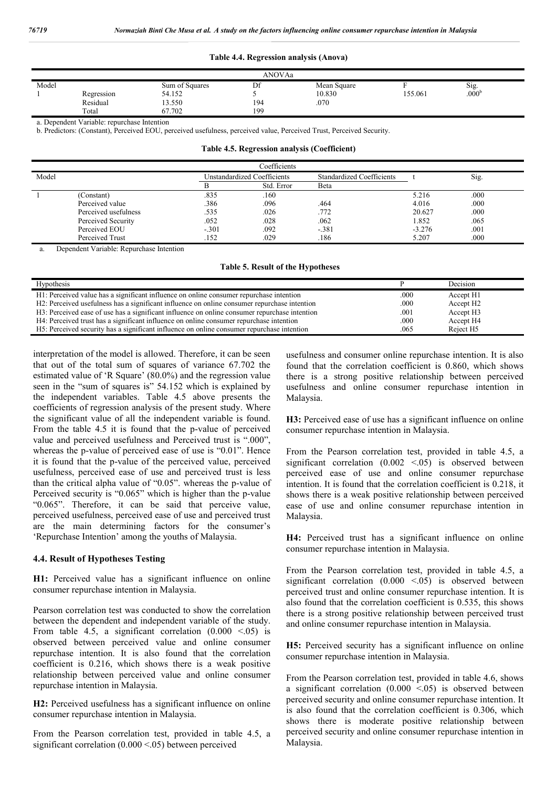#### **Table 4.4. Regression analysis (Anova)**

| ANOVAa |            |                |     |             |         |                   |  |
|--------|------------|----------------|-----|-------------|---------|-------------------|--|
| Model  |            | Sum of Squares | Df  | Mean Square |         | Sig.              |  |
|        | Regression | 54.152         |     | 10.830      | 155.061 | .000 <sup>b</sup> |  |
|        | Residual   | 13.550         | 194 | .070        |         |                   |  |
|        | Total      | 67.702         | 199 |             |         |                   |  |

a. Dependent Variable: repurchase Intention

b. Predictors: (Constant), Perceived EOU, perceived usefulness, perceived value, Perceived Trust, Perceived Security.

**Table 4.5. Regression analysis (Coefficient)**

| Coefficients |                      |                             |            |                                  |          |      |
|--------------|----------------------|-----------------------------|------------|----------------------------------|----------|------|
| Model        |                      | Unstandardized Coefficients |            | <b>Standardized Coefficients</b> |          | Sig. |
|              |                      |                             | Std. Error | Beta                             |          |      |
|              | (Constant)           | .835                        | .160       |                                  | 5.216    | .000 |
|              | Perceived value      | .386                        | .096       | .464                             | 4.016    | .000 |
|              | Perceived usefulness | .535                        | .026       | .772                             | 20.627   | .000 |
|              | Perceived Security   | .052                        | .028       | .062                             | 1.852    | .065 |
|              | Perceived EOU        | $-.301$                     | .092       | $-.381$                          | $-3.276$ | .001 |
|              | Perceived Trust      | .152                        | .029       | .186                             | 5.207    | .000 |

Dependent Variable: Repurchase Intention

| <b>Hypothesis</b>                                                                             |      | Decision              |
|-----------------------------------------------------------------------------------------------|------|-----------------------|
| H1: Perceived value has a significant influence on online consumer repurchase intention       | .000 | Accept H1             |
| H2: Perceived usefulness has a significant influence on online consumer repurchase intention  | .000 | Accept H <sub>2</sub> |
| H3: Perceived ease of use has a significant influence on online consumer repurchase intention | .001 | Accept H <sub>3</sub> |
| H4: Perceived trust has a significant influence on online consumer repurchase intention       | .000 | Accept H4             |
| H5: Perceived security has a significant influence on online consumer repurchase intention    | .065 | Reject H <sub>5</sub> |

interpretation of the model is allowed. Therefore, it can be seen that out of the total sum of squares of variance 67.702 the estimated value of 'R Square' (80.0%) and the regression value seen in the "sum of squares is" 54.152 which is explained by the independent variables. Table 4.5 above presents the coefficients of regression analysis of the present study. Where the significant value of all the independent variable is found. From the table 4.5 it is found that the p-value of perceived value and perceived usefulness and Perceived trust is ".000", whereas the p-value of perceived ease of use is "0.01". Hence it is found that the p-value of the perceived value, perceived usefulness, perceived ease of use and perceived trust is less than the critical alpha value of "0.05". whereas the p-value of Perceived security is "0.065" which is higher than the p-value "0.065". Therefore, it can be said that perceive value, perceived usefulness, perceived ease of use and perceived trust are the main determining factors for the consumer's 'Repurchase Intention' among the youths of Malaysia.

#### **4.4. Result of Hypotheses Testing**

**H1:** Perceived value has a significant influence on online consumer repurchase intention in Malaysia.

Pearson correlation test was conducted to show the correlation between the dependent and independent variable of the study. From table 4.5, a significant correlation  $(0.000 \le 0.05)$  is observed between perceived value and online consumer repurchase intention. It is also found that the correlation coefficient is 0.216, which shows there is a weak positive relationship between perceived value and online consumer repurchase intention in Malaysia.

**H2:** Perceived usefulness has a significant influence on online consumer repurchase intention in Malaysia.

From the Pearson correlation test, provided in table 4.5, a significant correlation  $(0.000 \le 0.05)$  between perceived

usefulness and consumer online repurchase intention. It is also found that the correlation coefficient is 0.860, which shows there is a strong positive relationship between perceived usefulness and online consumer repurchase intention in Malaysia.

**H3:** Perceived ease of use has a significant influence on online consumer repurchase intention in Malaysia.

From the Pearson correlation test, provided in table 4.5, a significant correlation  $(0.002 \le .05)$  is observed between perceived ease of use and online consumer repurchase intention. It is found that the correlation coefficient is 0.218, it shows there is a weak positive relationship between perceived ease of use and online consumer repurchase intention in Malaysia.

**H4:** Perceived trust has a significant influence on online consumer repurchase intention in Malaysia.

From the Pearson correlation test, provided in table 4.5, a significant correlation  $(0.000 \le 0.05)$  is observed between perceived trust and online consumer repurchase intention. It is also found that the correlation coefficient is 0.535, this shows there is a strong positive relationship between perceived trust and online consumer repurchase intention in Malaysia.

**H5:** Perceived security has a significant influence on online consumer repurchase intention in Malaysia.

From the Pearson correlation test, provided in table 4.6, shows a significant correlation  $(0.000 \le .05)$  is observed between perceived security and online consumer repurchase intention. It is also found that the correlation coefficient is 0.306, which shows there is moderate positive relationship between perceived security and online consumer repurchase intention in Malaysia.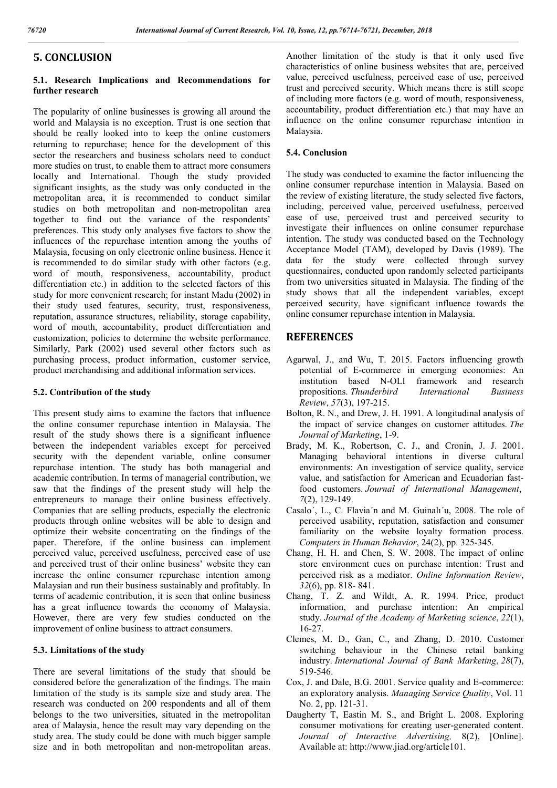# **5. CONCLUSION**

### **5.1. Research Implications and Recommendations for further research**

The popularity of online businesses is growing all around the world and Malaysia is no exception. Trust is one section that should be really looked into to keep the online customers returning to repurchase; hence for the development of this sector the researchers and business scholars need to conduct more studies on trust, to enable them to attract more consumers locally and International. Though the study provided significant insights, as the study was only conducted in the metropolitan area, it is recommended to conduct similar studies on both metropolitan and non-metropolitan area together to find out the variance of the respondents' preferences. This study only analyses five factors to show the influences of the repurchase intention among the youths of Malaysia, focusing on only electronic online business. Hence it is recommended to do similar study with other factors (e.g. word of mouth, responsiveness, accountability, product differentiation etc.) in addition to the selected factors of this study for more convenient research; for instant Madu (2002) in their study used features, security, trust, responsiveness, reputation, assurance structures, reliability, storage capability, word of mouth, accountability, product differentiation and customization, policies to determine the website performance. Similarly, Park (2002) used several other factors such as purchasing process, product information, customer service, product merchandising and additional information services.

### **5.2. Contribution of the study**

This present study aims to examine the factors that influence the online consumer repurchase intention in Malaysia. The result of the study shows there is a significant influence between the independent variables except for perceived security with the dependent variable, online consumer repurchase intention. The study has both managerial and academic contribution. In terms of managerial contribution, we saw that the findings of the present study will help the entrepreneurs to manage their online business effectively. Companies that are selling products, especially the electronic products through online websites will be able to design and optimize their website concentrating on the findings of the paper. Therefore, if the online business can implement perceived value, perceived usefulness, perceived ease of use and perceived trust of their online business' website they can increase the online consumer repurchase intention among Malaysian and run their business sustainably and profitably. In terms of academic contribution, it is seen that online business has a great influence towards the economy of Malaysia. However, there are very few studies conducted on the improvement of online business to attract consumers.

#### **5.3. Limitations of the study**

There are several limitations of the study that should be considered before the generalization of the findings. The main limitation of the study is its sample size and study area. The research was conducted on 200 respondents and all of them belongs to the two universities, situated in the metropolitan area of Malaysia, hence the result may vary depending on the study area. The study could be done with much bigger sample size and in both metropolitan and non-metropolitan areas.

Another limitation of the study is that it only used five characteristics of online business websites that are, perceived value, perceived usefulness, perceived ease of use, perceived trust and perceived security. Which means there is still scope of including more factors (e.g. word of mouth, responsiveness, accountability, product differentiation etc.) that may have an influence on the online consumer repurchase intention in Malaysia.

### **5.4. Conclusion**

The study was conducted to examine the factor influencing the online consumer repurchase intention in Malaysia. Based on the review of existing literature, the study selected five factors, including, perceived value, perceived usefulness, perceived ease of use, perceived trust and perceived security to investigate their influences on online consumer repurchase intention. The study was conducted based on the Technology Acceptance Model (TAM), developed by Davis (1989). The data for the study were collected through survey questionnaires, conducted upon randomly selected participants from two universities situated in Malaysia. The finding of the study shows that all the independent variables, except perceived security, have significant influence towards the online consumer repurchase intention in Malaysia.

### **REFERENCES**

- Agarwal, J., and Wu, T. 2015. Factors influencing growth potential of E-commerce in emerging economies: An institution based N-OLI framework and research propositions. *Thunderbird International Business Review*, *57*(3), 197-215.
- Bolton, R. N., and Drew, J. H. 1991. A longitudinal analysis of the impact of service changes on customer attitudes. *The Journal of Marketing*, 1-9.
- Brady, M. K., Robertson, C. J., and Cronin, J. J. 2001. Managing behavioral intentions in diverse cultural environments: An investigation of service quality, service value, and satisfaction for American and Ecuadorian fastfood customers. *Journal of International Management*, *7*(2), 129-149.
- Casalo´, L., C. Flavia´n and M. Guinalı´u, 2008. The role of perceived usability, reputation, satisfaction and consumer familiarity on the website loyalty formation process. *Computers in Human Behavior*, 24(2), pp. 325-345.
- Chang, H. H. and Chen, S. W. 2008. The impact of online store environment cues on purchase intention: Trust and perceived risk as a mediator. *Online Information Review*, *32*(6), pp. 818- 841.
- Chang, T. Z. and Wildt, A. R. 1994. Price, product information, and purchase intention: An empirical study. *Journal of the Academy of Marketing science*, *22*(1), 16-27.
- Clemes, M. D., Gan, C., and Zhang, D. 2010. Customer switching behaviour in the Chinese retail banking industry. *International Journal of Bank Marketing*, *28*(7), 519-546.
- Cox, J. and Dale, B.G. 2001. Service quality and E-commerce: an exploratory analysis. *Managing Service Quality*, Vol. 11 No. 2, pp. 121-31.
- Daugherty T, Eastin M. S., and Bright L. 2008. Exploring consumer motivations for creating user-generated content. *Journal of Interactive Advertising,* 8(2), [Online]. Available at: http://www.jiad.org/article101.